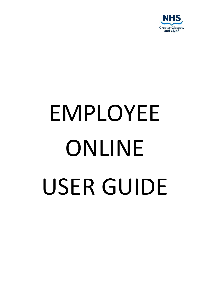

# EMPLOYEE ONLINE USER GUIDE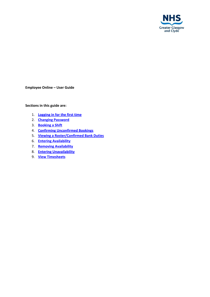

**Employee Online – User Guide**

## **Sections in this guide are:**

- 1. **[Logging](#page-2-0) in for the first time**
- 2. **Changing [Password](#page-2-1)**
- 3. **[Booking](#page-4-0) a Shift**
- 4. **Confirming [Unconfirmed](#page-7-0) Bookings**
- 5. **Viewing a [Roster/Confirmed](#page-8-0) Bank Duties**
- 6. **Entering [Availability](#page-9-0)**
- 7. **Removing [Availability](#page-10-0)**
- 8. **Entering [Unavailability](#page-11-0)**
- 9. **View [Timesheets](#page-11-1)**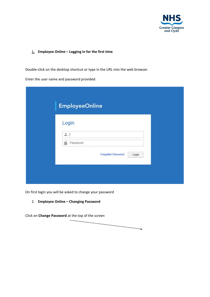

#### <span id="page-2-0"></span>1. **Employee Online – Logging in for the first time**

Double-click on the desktop shortcut or type in the URL into the web browser.

Enter the user name and password provided

| Login<br>$\Delta$<br>Password<br>酋<br>Forgotten Password<br>Login | <b>EmployeeOnline</b> |  |  |
|-------------------------------------------------------------------|-----------------------|--|--|
|                                                                   |                       |  |  |
|                                                                   |                       |  |  |
|                                                                   |                       |  |  |
|                                                                   |                       |  |  |

<span id="page-2-1"></span>On first login you will be asked to change your password

2. **Employee Online – Changing Password**

Click on **Change Password** at the top of the screen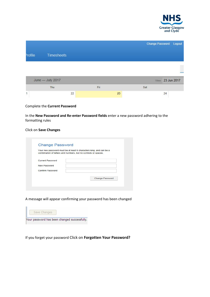

|         |                   |     | Change Password Logout |
|---------|-------------------|-----|------------------------|
| Profile | <b>Timesheets</b> |     |                        |
|         |                   |     |                        |
|         |                   |     |                        |
|         | June - July 2017  |     | View 23 Jun 2017       |
|         | Thu               | Fri | Sat                    |

#### Complete the **Current Password**

In the **New Password and Re-enter Password fields** e nter a new password adhering to the formatting rules

#### Click on **Save Changes**

| combination of letters and numbers, but no symbols or spaces. | Your new password must be at least 6 characters long, and can be a |
|---------------------------------------------------------------|--------------------------------------------------------------------|
| <b>Current Password</b>                                       |                                                                    |
| <b>New Password</b>                                           |                                                                    |
| <b>Confirm Password</b>                                       |                                                                    |
|                                                               | <b>Change Password</b>                                             |

A message will appear confirming your password has been changed

| Save Changes |  |                                              |  |  |
|--------------|--|----------------------------------------------|--|--|
|              |  | Your password has been changed successfully. |  |  |

If you forget your password Click on **Forgotten Your Password?**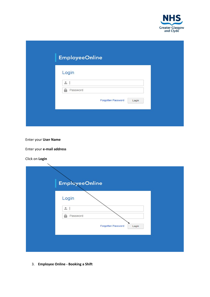

| <b>EmployeeOnline</b> |                    |       |
|-----------------------|--------------------|-------|
| Login                 |                    |       |
| $\triangle$           |                    |       |
| Password<br>éù        |                    |       |
|                       | Forgotten Password | Login |

Enter your **User Name**

Enter your **e-mail address**

Click on **Login**

| <b>EmployeeOnline</b><br>Login |                             |
|--------------------------------|-----------------------------|
| ≗<br>Password<br>ė             |                             |
|                                | Forgotten Password<br>Login |
|                                |                             |

<span id="page-4-0"></span>3. **Employee Online - Booking a Shift**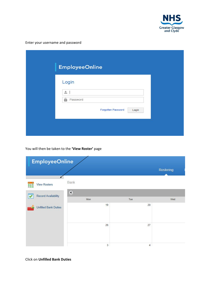

# Enter your username and password

| <b>EmployeeOnline</b><br>Login<br>$\stackrel{\circ}{\equiv}$<br>Password<br>岣<br>Forgotten Password |  |
|-----------------------------------------------------------------------------------------------------|--|
|                                                                                                     |  |
|                                                                                                     |  |
|                                                                                                     |  |
|                                                                                                     |  |

You will then be taken to the **'View Roster'** page

| <b>EmployeeOnline</b>       |                   |                |           |  |  |  |  |
|-----------------------------|-------------------|----------------|-----------|--|--|--|--|
|                             |                   |                | Rostering |  |  |  |  |
| <b>View Rosters</b><br>888  | Bank              |                |           |  |  |  |  |
| <b>Record Availability</b>  | $\bigcirc$<br>Mon | Tue            | Wed       |  |  |  |  |
| <b>Unfilled Bank Duties</b> | 19                | 20             |           |  |  |  |  |
|                             |                   |                |           |  |  |  |  |
|                             | 26                | 27             |           |  |  |  |  |
|                             | 3                 | $\overline{4}$ |           |  |  |  |  |

Click on **Unfilled Bank Duties**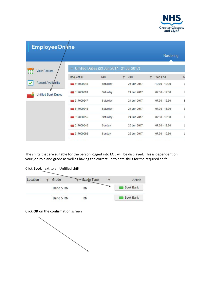

| <b>EmployeeOnline</b>       |                |          |                                             |                 |   |
|-----------------------------|----------------|----------|---------------------------------------------|-----------------|---|
|                             |                |          |                                             | Rostering       |   |
| <b>View Rosters</b>         | -              |          | Unfilled Duties (23 Jun 2017 - 21 Jul 2017) |                 |   |
|                             | Request ID     | Day      | Date                                        | Start-End       | S |
| Record Availability<br>✔    | 617000045      | Saturday | 24 Jun 2017                                 | $10:00 - 19:30$ | L |
| <b>Unfilled Bank Duties</b> | 617000091      | Saturday | 24 Jun 2017                                 | $07:30 - 19:30$ | L |
|                             | 617000247      | Saturday | 24 Jun 2017                                 | $07:30 - 15:30$ | E |
|                             | 617000248      | Saturday | 24 Jun 2017                                 | $07:30 - 15:30$ | E |
|                             | 617000255      | Saturday | 24 Jun 2017                                 | $07:30 - 19:30$ | L |
|                             | 617000046      | Sunday   | 25 Jun 2017                                 | $07:30 - 19:30$ | t |
|                             | 617000092      | Sunday   | 25 Jun 2017                                 | $07:30 - 19:30$ | L |
|                             | <b>AIRDOOF</b> |          |                                             |                 | ٠ |

The shifts that are suitable for the person logged into EOL will be displayed. This is dependent on your job role and grade as well as having the correct up to date skills for the required shift.

Click **Book** next to an Unfilled shift

| Location | Grade     | <b>Grade Type</b> | Action           |
|----------|-----------|-------------------|------------------|
|          | Band 5 RN | RN                | <b>Book Bank</b> |
|          | Band 5 RN | RN                | <b>Book Bank</b> |

Click **OK** on the confirmation screen

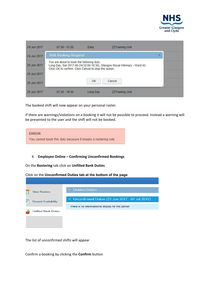

| 24 Jun 2017 | $07:30 - 15:30$                                                                                     | Early    | <b>ZZTraining Unit</b>                                                    |   |
|-------------|-----------------------------------------------------------------------------------------------------|----------|---------------------------------------------------------------------------|---|
| 24 Jun 2017 | <b>Shift Booking Request</b>                                                                        |          |                                                                           | × |
| 25 Jun 2017 | You are about to book the following duty:<br>Click OK to confirm. Click Cancel to stop this action. |          | Long Day, Sat 2017-06-24(10:00-19:30), Glasgow Royal Infirmary - Ward 43. |   |
| 25 Jun 2017 |                                                                                                     |          |                                                                           |   |
| 25 Jun 2017 |                                                                                                     | OK       | Cancel                                                                    |   |
| 25 Jun 2017 | $07:30 - 19:30$                                                                                     | Long Day | <b>ZZTraining Unit</b>                                                    |   |

The booked shift will now appear on your personal roster.

If there are warnings/violations on a booking it will not be possible to proceed. Instead a warning will be presented to the user and the shift will not be booked.



# <span id="page-7-0"></span>4. **Employee Online – Confirming Unconfirmed Bookings**

On the **Rostering** tab click on **Unfilled Bank Duties**

Click on the **Unconfirmed Duties tab at the bottom of the page**



The list of unconfirmed shifts will appear

Confirm a booking by clicking the **Confirm** button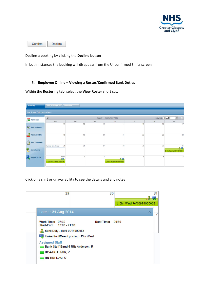

Confirm Decline

Decline a booking by clicking the **Decline** button

<span id="page-8-0"></span>In both instances the booking will disappear from the Unconfirmed Shifts screen

## 5. **Employee Online – Viewing a Roster/Confirmed Bank Duties**

Within the **Rostering tab**, select the **View Roster** short cut.



Click on a shift or unavailability to see the details and any notes

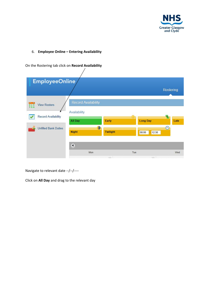

<span id="page-9-0"></span>6. **Employee Online – Entering Availability**

On the Rostering tab click on **Record Availability** Ϊ

| EmployeeOnline                                 |                            |                 |                   |                  |
|------------------------------------------------|----------------------------|-----------------|-------------------|------------------|
|                                                |                            |                 |                   | <b>Rostering</b> |
| <b>View Rosters</b><br>$\bullet$ $\bullet$<br> | <b>Record Availability</b> |                 |                   |                  |
| <b>Record Availability</b>                     | Availability<br>All Day    | Early           | <b>Long Day</b>   | 争<br>Late        |
| <b>Unfilled Bank Duties</b>                    | <b>Night</b>               | <b>Twilight</b> | $-12:30$<br>08:00 | $\sim$           |
|                                                | $\odot$<br>Mon             |                 | Tue               | Wed              |

Navigate to relevant date --/--/----

Click on **All Day** and drag to the relevant day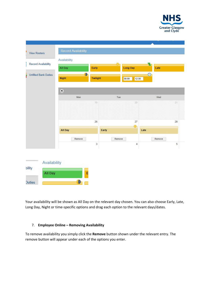

|                             | <b>Record Availability</b><br>Availability |          |        |                   |            |                |
|-----------------------------|--------------------------------------------|----------|--------|-------------------|------------|----------------|
| <b>Record Availability</b>  | All Day                                    | Early    |        | <b>Long Day</b>   | 春<br>Late  |                |
| <b>Unfilled Bank Duties</b> | <b>Night</b>                               | Twilight |        | 08:00<br>$-12:30$ | $_{\odot}$ |                |
|                             | $\bigcirc$                                 |          |        |                   |            |                |
|                             | Mon                                        |          | Tue    |                   | Wed        |                |
|                             |                                            | 19       |        | 20                |            | 21             |
|                             |                                            | 26       |        | 27                |            | 28             |
|                             | All Day                                    |          | Early  | S. E              | Late       |                |
|                             | Remove                                     |          | Remove |                   | Remove     |                |
|                             |                                            | 3        |        | $\overline{4}$    |            | $\overline{5}$ |

<span id="page-10-0"></span>Your availability will be shown as All Day on the relevant day chosen. You can also choose Early, Late, Long Day, Night or time-specific options and drag each option to the relevant days/dates.

## 7. **Employee Online – Removing Availability**

To remove availability you simply click the **Remove** button shown under the relevant entry. The remove button will appear under each of the options you enter.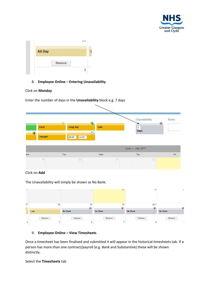

<span id="page-11-0"></span>

| All Day |        |  |
|---------|--------|--|
|         |        |  |
|         | Remove |  |

## 8. **Employee Online – Entering Unavailability**

#### Click on **Monday**

|     |                   |                                  |          |                     |    | Unavailability    | <b>Notes</b>  |
|-----|-------------------|----------------------------------|----------|---------------------|----|-------------------|---------------|
|     | Early<br>Twilight | ste.<br><b>Long Day</b><br>08:00 | $-12:30$ | 밀<br>Late<br>$\sim$ |    | $\vert$ 1<br>Days | $\mathcal{P}$ |
|     |                   |                                  |          |                     |    | June - July 2017  |               |
| Mon |                   | Tue                              |          | Wed                 |    | Thu               | Fri           |
|     | 19                |                                  | $20\,$   |                     | 21 | 22)               |               |

Enter the number of days in the **Unavailability** block e.g. 7 days

Click on **Add**

The Unavailability will simply be shown as No Bank.

<span id="page-11-1"></span>

| EM/            |                | BO                       | LJ                 | 44                | $\angle$          |
|----------------|----------------|--------------------------|--------------------|-------------------|-------------------|
| 27<br>¥,       | 28             | 29<br>$\mathcal{P}$      | 30<br>$\mathbf{z}$ | Jul 1<br>x        | 7                 |
|                | Late<br>Remove | <b>No Bank</b><br>Remove | No Bank<br>Remove  | No Bank<br>Remove | No Bank<br>Remove |
| $\overline{4}$ | 5              | 6                        | $\overline{7}$     | 8                 |                   |

## 9. **Employee Online – View Timesheets**

Once a timesheet has been finalised and submitted it will appear in the historical timesheets tab. If a person has more than one contract/payroll (e.g. Bank and Substantive) these will be shown distinctly.

Select the **Timesheets** tab